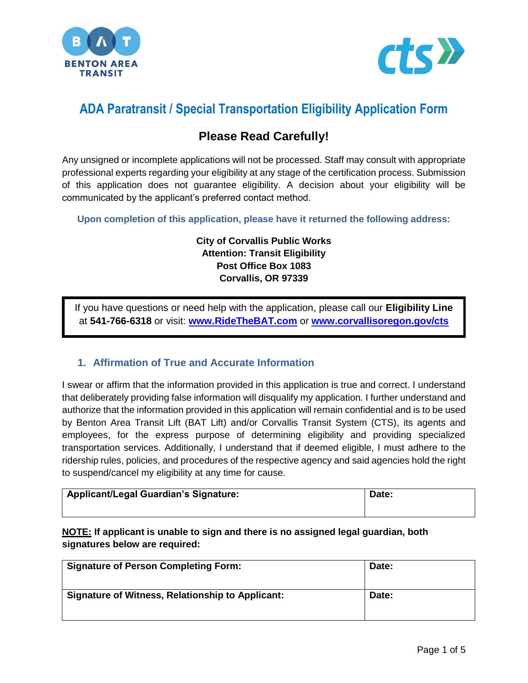



# **ADA Paratransit / Special Transportation Eligibility Application Form**

# **Please Read Carefully!**

Any unsigned or incomplete applications will not be processed. Staff may consult with appropriate professional experts regarding your eligibility at any stage of the certification process. Submission of this application does not guarantee eligibility. A decision about your eligibility will be communicated by the applicant's preferred contact method.

**Upon completion of this application, please have it returned the following address:**

#### **City of Corvallis Public Works Attention: Transit Eligibility Post Office Box 1083 Corvallis, OR 97339**

If you have questions or need help with the application, please call our **Eligibility Line** at **541-766-6318** or visit: **[www.RideTheBAT.com](http://www.ridethebat.com/)** or **[www.corvallisoregon.gov/cts](http://www.corvallisoregon.gov/cts)**

### **1. Affirmation of True and Accurate Information**

I swear or affirm that the information provided in this application is true and correct. I understand that deliberately providing false information will disqualify my application. I further understand and authorize that the information provided in this application will remain confidential and is to be used by Benton Area Transit Lift (BAT Lift) and/or Corvallis Transit System (CTS), its agents and employees, for the express purpose of determining eligibility and providing specialized transportation services. Additionally, I understand that if deemed eligible, I must adhere to the ridership rules, policies, and procedures of the respective agency and said agencies hold the right to suspend/cancel my eligibility at any time for cause.

| Applicant/Legal Guardian's Signature: | Date. |
|---------------------------------------|-------|
|                                       |       |

**NOTE: If applicant is unable to sign and there is no assigned legal guardian, both signatures below are required:** 

| <b>Signature of Person Completing Form:</b>      | Date: |
|--------------------------------------------------|-------|
| Signature of Witness, Relationship to Applicant: | Date: |
|                                                  |       |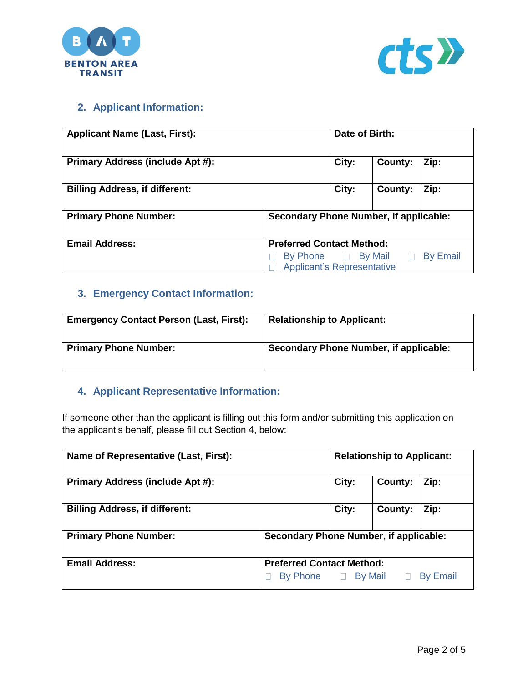



### **2. Applicant Information:**

| <b>Applicant Name (Last, First):</b>  |                                                                                      | Date of Birth: |         |      |
|---------------------------------------|--------------------------------------------------------------------------------------|----------------|---------|------|
| Primary Address (include Apt #):      |                                                                                      | City:          | County: | Zip: |
| <b>Billing Address, if different:</b> |                                                                                      | City:          | County: | Zip: |
| <b>Primary Phone Number:</b>          | Secondary Phone Number, if applicable:                                               |                |         |      |
| <b>Email Address:</b>                 | <b>Preferred Contact Method:</b>                                                     |                |         |      |
|                                       | <b>By Email</b><br>By Phone<br><b>Example 2</b> Applicant's Representative<br>$\Box$ |                |         |      |

# **3. Emergency Contact Information:**

| <b>Emergency Contact Person (Last, First):</b> | <b>Relationship to Applicant:</b>      |
|------------------------------------------------|----------------------------------------|
| <b>Primary Phone Number:</b>                   | Secondary Phone Number, if applicable: |

### **4. Applicant Representative Information:**

If someone other than the applicant is filling out this form and/or submitting this application on the applicant's behalf, please fill out Section 4, below:

| Name of Representative (Last, First): |                                        | <b>Relationship to Applicant:</b> |         |                 |
|---------------------------------------|----------------------------------------|-----------------------------------|---------|-----------------|
| Primary Address (include Apt #):      |                                        | City:                             | County: | Zip:            |
| <b>Billing Address, if different:</b> |                                        | City:                             | County: | Zip:            |
| <b>Primary Phone Number:</b>          | Secondary Phone Number, if applicable: |                                   |         |                 |
| <b>Email Address:</b>                 | <b>Preferred Contact Method:</b>       |                                   |         |                 |
|                                       | By Phone D By Mail                     |                                   |         | <b>By Email</b> |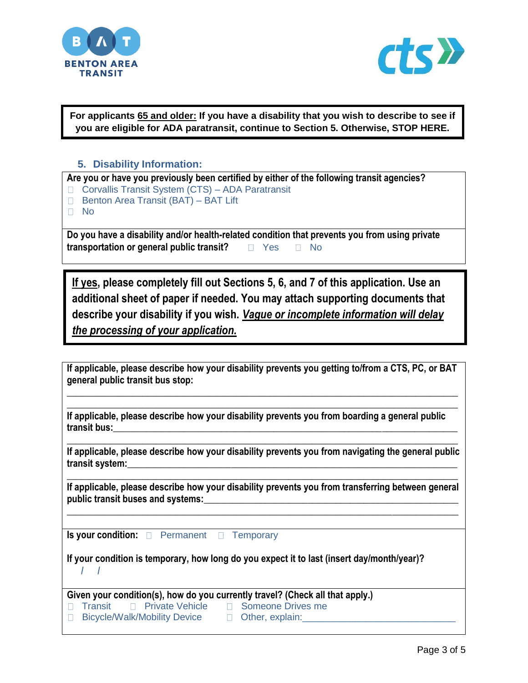



**For applicants 65 and older: If you have a disability that you wish to describe to see if you are eligible for ADA paratransit, continue to Section 5. Otherwise, STOP HERE.**

#### **5. Disability Information:**

| Are you or have you previously been certified by either of the following transit agencies? |                                                                                               |  |  |  |
|--------------------------------------------------------------------------------------------|-----------------------------------------------------------------------------------------------|--|--|--|
|                                                                                            | □ Corvallis Transit System (CTS) – ADA Paratransit                                            |  |  |  |
|                                                                                            | <b>Benton Area Transit (BAT) - BAT Lift</b>                                                   |  |  |  |
|                                                                                            | ⊟ No                                                                                          |  |  |  |
|                                                                                            |                                                                                               |  |  |  |
|                                                                                            | Do you have a disability and/or health-related condition that prevents you from using private |  |  |  |

**transportation or general public transit?**  $\Box$  Yes  $\Box$  No

**If yes, please completely fill out Sections 5, 6, and 7 of this application. Use an additional sheet of paper if needed. You may attach supporting documents that describe your disability if you wish.** *Vague or incomplete information will delay the processing of your application.* 

| If applicable, please describe how your disability prevents you getting to/from a CTS, PC, or BAT |  |
|---------------------------------------------------------------------------------------------------|--|
| general public transit bus stop:                                                                  |  |

**\_\_\_\_\_\_\_\_\_\_\_\_\_\_\_\_\_\_\_\_\_\_\_\_\_\_\_\_\_\_\_\_\_\_\_\_\_\_\_\_\_\_\_\_\_\_\_\_\_\_\_\_\_\_\_\_\_\_\_\_\_\_\_\_\_\_\_\_\_\_\_\_\_\_\_\_\_\_\_\_\_\_\_**

**\_\_\_\_\_\_\_\_\_\_\_\_\_\_\_\_\_\_\_\_\_\_\_\_\_\_\_\_\_\_\_\_\_\_\_\_\_\_\_\_\_\_\_\_\_\_\_\_\_\_\_\_\_\_\_\_\_\_\_\_\_\_\_\_\_\_\_\_\_\_\_\_\_\_\_\_\_\_\_\_\_\_\_ If applicable, please describe how your disability prevents you from boarding a general public transit bus:\_\_\_\_\_\_\_\_\_\_\_\_\_\_\_\_\_\_\_\_\_\_\_\_\_\_\_\_\_\_\_\_\_\_\_\_\_\_\_\_\_\_\_\_\_\_\_\_\_\_\_\_\_\_\_\_\_\_\_\_\_\_\_\_\_\_\_\_\_\_\_\_\_**

**\_\_\_\_\_\_\_\_\_\_\_\_\_\_\_\_\_\_\_\_\_\_\_\_\_\_\_\_\_\_\_\_\_\_\_\_\_\_\_\_\_\_\_\_\_\_\_\_\_\_\_\_\_\_\_\_\_\_\_\_\_\_\_\_\_\_\_\_\_\_\_\_\_\_\_\_\_\_\_\_\_\_\_ If applicable, please describe how your disability prevents you from navigating the general public transit system:\_\_\_\_\_\_\_\_\_\_\_\_\_\_\_\_\_\_\_\_\_\_\_\_\_\_\_\_\_\_\_\_\_\_\_\_\_\_\_\_\_\_\_\_\_\_\_\_\_\_\_\_\_\_\_\_\_\_\_\_\_\_\_\_\_\_\_\_\_\_**

**If applicable, please describe how your disability prevents you from transferring between general**  public transit buses and systems:

**\_\_\_\_\_\_\_\_\_\_\_\_\_\_\_\_\_\_\_\_\_\_\_\_\_\_\_\_\_\_\_\_\_\_\_\_\_\_\_\_\_\_\_\_\_\_\_\_\_\_\_\_\_\_\_\_\_\_\_\_\_\_\_\_\_\_\_\_\_\_\_\_\_\_\_\_\_\_\_\_\_\_\_**

**\_\_\_\_\_\_\_\_\_\_\_\_\_\_\_\_\_\_\_\_\_\_\_\_\_\_\_\_\_\_\_\_\_\_\_\_\_\_\_\_\_\_\_\_\_\_\_\_\_\_\_\_\_\_\_\_\_\_\_\_\_\_\_\_\_\_\_\_\_\_\_\_\_\_\_\_\_\_\_\_\_\_\_**

**Is your condition: Permanent Temporary** 

**If your condition is temporary, how long do you expect it to last (insert day/month/year)? / /** 

 $\Box$  Transit  $\Box$  Private Vehicle  $\Box$  Someone Drives me D Bicycle/Walk/Mobility Device D Other, explain: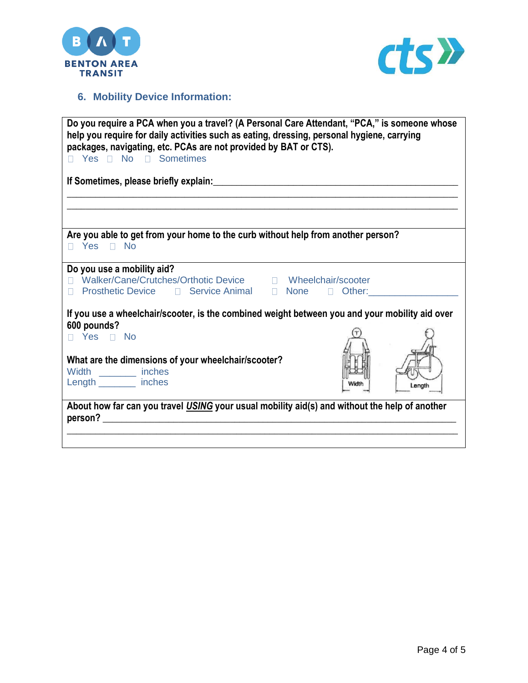



# **6. Mobility Device Information:**

| Do you require a PCA when you a travel? (A Personal Care Attendant, "PCA," is someone whose<br>help you require for daily activities such as eating, dressing, personal hygiene, carrying<br>packages, navigating, etc. PCAs are not provided by BAT or CTS).<br>□ Yes □ No □ Sometimes |        |  |  |  |
|-----------------------------------------------------------------------------------------------------------------------------------------------------------------------------------------------------------------------------------------------------------------------------------------|--------|--|--|--|
|                                                                                                                                                                                                                                                                                         |        |  |  |  |
|                                                                                                                                                                                                                                                                                         |        |  |  |  |
|                                                                                                                                                                                                                                                                                         |        |  |  |  |
| Are you able to get from your home to the curb without help from another person?<br>$\Box$ Yes $\Box$ No                                                                                                                                                                                |        |  |  |  |
| Do you use a mobility aid?                                                                                                                                                                                                                                                              |        |  |  |  |
| □ Prosthetic Device □ Service Animal □ None □ Other: None → None → None → None → None → None → None → None → None → None → None → None → None → None → None → None → None → None → None → None → None → None → None → None →                                                            |        |  |  |  |
| If you use a wheelchair/scooter, is the combined weight between you and your mobility aid over                                                                                                                                                                                          |        |  |  |  |
| 600 pounds?<br>□ Yes □ No                                                                                                                                                                                                                                                               |        |  |  |  |
|                                                                                                                                                                                                                                                                                         |        |  |  |  |
| What are the dimensions of your wheelchair/scooter?                                                                                                                                                                                                                                     |        |  |  |  |
| Width _________ inches<br>Length ________ inches                                                                                                                                                                                                                                        |        |  |  |  |
|                                                                                                                                                                                                                                                                                         | Lenath |  |  |  |
| About how far can you travel USING your usual mobility aid(s) and without the help of another                                                                                                                                                                                           |        |  |  |  |
| person?                                                                                                                                                                                                                                                                                 |        |  |  |  |
|                                                                                                                                                                                                                                                                                         |        |  |  |  |